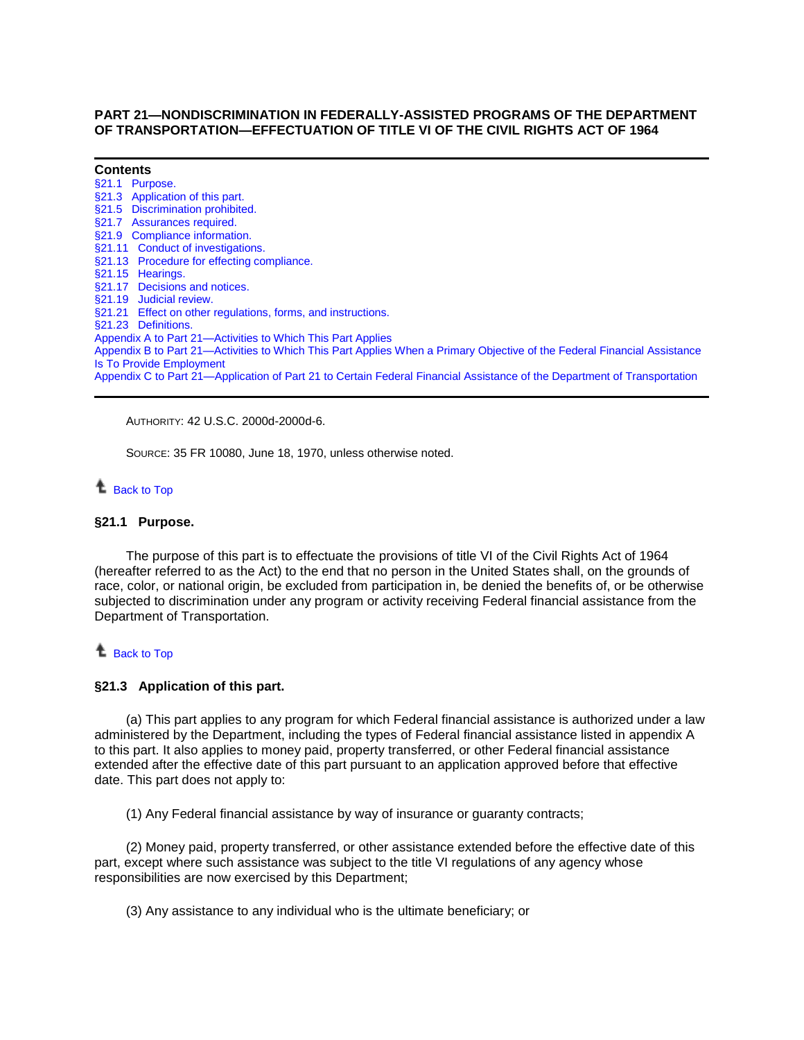### **PART 21—NONDISCRIMINATION IN FEDERALLY-ASSISTED PROGRAMS OF THE DEPARTMENT OF TRANSPORTATION—EFFECTUATION OF TITLE VI OF THE CIVIL RIGHTS ACT OF 1964**

**Contents** [§21.1 Purpose.](https://www.ecfr.gov/cgi-bin/text-idx?SID=a29f9b86c050392fa001b929878a4184&mc=true&node=pt49.1.21&rgn=div5#se49.1.21_11) [§21.3 Application of this part.](https://www.ecfr.gov/cgi-bin/text-idx?SID=a29f9b86c050392fa001b929878a4184&mc=true&node=pt49.1.21&rgn=div5#se49.1.21_13) [§21.5 Discrimination prohibited.](https://www.ecfr.gov/cgi-bin/text-idx?SID=a29f9b86c050392fa001b929878a4184&mc=true&node=pt49.1.21&rgn=div5#se49.1.21_15) [§21.7 Assurances required.](https://www.ecfr.gov/cgi-bin/text-idx?SID=a29f9b86c050392fa001b929878a4184&mc=true&node=pt49.1.21&rgn=div5#se49.1.21_17) [§21.9 Compliance information.](https://www.ecfr.gov/cgi-bin/text-idx?SID=a29f9b86c050392fa001b929878a4184&mc=true&node=pt49.1.21&rgn=div5#se49.1.21_19) [§21.11 Conduct of investigations.](https://www.ecfr.gov/cgi-bin/text-idx?SID=a29f9b86c050392fa001b929878a4184&mc=true&node=pt49.1.21&rgn=div5#se49.1.21_111) [§21.13 Procedure for effecting compliance.](https://www.ecfr.gov/cgi-bin/text-idx?SID=a29f9b86c050392fa001b929878a4184&mc=true&node=pt49.1.21&rgn=div5#se49.1.21_113) [§21.15 Hearings.](https://www.ecfr.gov/cgi-bin/text-idx?SID=a29f9b86c050392fa001b929878a4184&mc=true&node=pt49.1.21&rgn=div5#se49.1.21_115) [§21.17 Decisions and notices.](https://www.ecfr.gov/cgi-bin/text-idx?SID=a29f9b86c050392fa001b929878a4184&mc=true&node=pt49.1.21&rgn=div5#se49.1.21_117) [§21.19 Judicial review.](https://www.ecfr.gov/cgi-bin/text-idx?SID=a29f9b86c050392fa001b929878a4184&mc=true&node=pt49.1.21&rgn=div5#se49.1.21_119) [§21.21 Effect on other regulations, forms, and instructions.](https://www.ecfr.gov/cgi-bin/text-idx?SID=a29f9b86c050392fa001b929878a4184&mc=true&node=pt49.1.21&rgn=div5#se49.1.21_121) [§21.23 Definitions.](https://www.ecfr.gov/cgi-bin/text-idx?SID=a29f9b86c050392fa001b929878a4184&mc=true&node=pt49.1.21&rgn=div5#se49.1.21_123) [Appendix A to Part 21—Activities to Which This Part Applies](https://www.ecfr.gov/cgi-bin/text-idx?SID=a29f9b86c050392fa001b929878a4184&mc=true&node=pt49.1.21&rgn=div5#ap49.1.21_123.a) [Appendix B to Part 21—Activities to Which This Part Applies When a Primary Objective of the Federal Financial Assistance](https://www.ecfr.gov/cgi-bin/text-idx?SID=a29f9b86c050392fa001b929878a4184&mc=true&node=pt49.1.21&rgn=div5#ap49.1.21_123.b)  [Is To Provide Employment](https://www.ecfr.gov/cgi-bin/text-idx?SID=a29f9b86c050392fa001b929878a4184&mc=true&node=pt49.1.21&rgn=div5#ap49.1.21_123.b) [Appendix C to Part 21—Application of Part 21 to Certain Federal Financial Assistance of the Department of Transportation](https://www.ecfr.gov/cgi-bin/text-idx?SID=a29f9b86c050392fa001b929878a4184&mc=true&node=pt49.1.21&rgn=div5#ap49.1.21_123.c)

AUTHORITY: 42 U.S.C. 2000d-2000d-6.

SOURCE: 35 FR 10080, June 18, 1970, unless otherwise noted.

# <sup>1</sup> [Back to Top](https://www.ecfr.gov/cgi-bin/text-idx?SID=a29f9b86c050392fa001b929878a4184&mc=true&node=pt49.1.21&rgn=div5#_top)

#### **§21.1 Purpose.**

The purpose of this part is to effectuate the provisions of title VI of the Civil Rights Act of 1964 (hereafter referred to as the Act) to the end that no person in the United States shall, on the grounds of race, color, or national origin, be excluded from participation in, be denied the benefits of, or be otherwise subjected to discrimination under any program or activity receiving Federal financial assistance from the Department of Transportation.

# <sup>1</sup> Back [to Top](https://www.ecfr.gov/cgi-bin/text-idx?SID=a29f9b86c050392fa001b929878a4184&mc=true&node=pt49.1.21&rgn=div5#_top)

### **§21.3 Application of this part.**

(a) This part applies to any program for which Federal financial assistance is authorized under a law administered by the Department, including the types of Federal financial assistance listed in appendix A to this part. It also applies to money paid, property transferred, or other Federal financial assistance extended after the effective date of this part pursuant to an application approved before that effective date. This part does not apply to:

(1) Any Federal financial assistance by way of insurance or guaranty contracts;

(2) Money paid, property transferred, or other assistance extended before the effective date of this part, except where such assistance was subject to the title VI regulations of any agency whose responsibilities are now exercised by this Department;

(3) Any assistance to any individual who is the ultimate beneficiary; or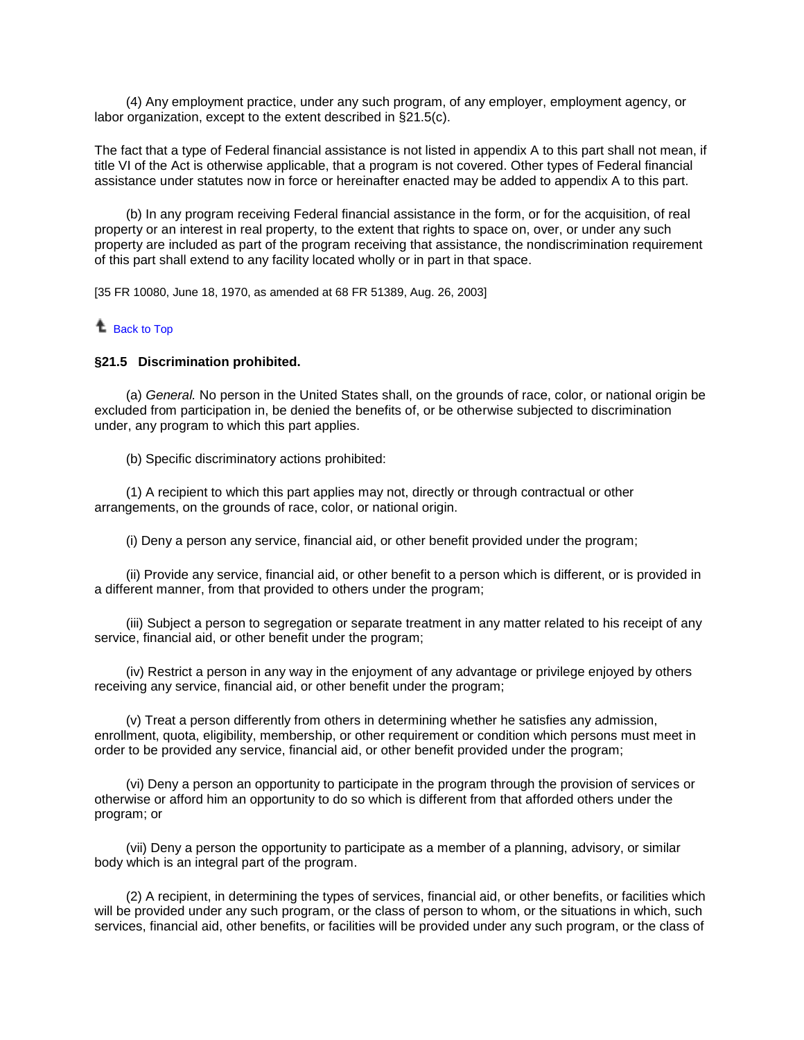(4) Any employment practice, under any such program, of any employer, employment agency, or labor organization, except to the extent described in §21.5(c).

The fact that a type of Federal financial assistance is not listed in appendix A to this part shall not mean, if title VI of the Act is otherwise applicable, that a program is not covered. Other types of Federal financial assistance under statutes now in force or hereinafter enacted may be added to appendix A to this part.

(b) In any program receiving Federal financial assistance in the form, or for the acquisition, of real property or an interest in real property, to the extent that rights to space on, over, or under any such property are included as part of the program receiving that assistance, the nondiscrimination requirement of this part shall extend to any facility located wholly or in part in that space.

[35 FR 10080, June 18, 1970, as amended at 68 FR 51389, Aug. 26, 2003]

### <sup>1</sup> [Back to Top](https://www.ecfr.gov/cgi-bin/text-idx?SID=a29f9b86c050392fa001b929878a4184&mc=true&node=pt49.1.21&rgn=div5#_top)

#### **§21.5 Discrimination prohibited.**

(a) *General.* No person in the United States shall, on the grounds of race, color, or national origin be excluded from participation in, be denied the benefits of, or be otherwise subjected to discrimination under, any program to which this part applies.

(b) Specific discriminatory actions prohibited:

(1) A recipient to which this part applies may not, directly or through contractual or other arrangements, on the grounds of race, color, or national origin.

(i) Deny a person any service, financial aid, or other benefit provided under the program;

(ii) Provide any service, financial aid, or other benefit to a person which is different, or is provided in a different manner, from that provided to others under the program;

(iii) Subject a person to segregation or separate treatment in any matter related to his receipt of any service, financial aid, or other benefit under the program;

(iv) Restrict a person in any way in the enjoyment of any advantage or privilege enjoyed by others receiving any service, financial aid, or other benefit under the program;

(v) Treat a person differently from others in determining whether he satisfies any admission, enrollment, quota, eligibility, membership, or other requirement or condition which persons must meet in order to be provided any service, financial aid, or other benefit provided under the program;

(vi) Deny a person an opportunity to participate in the program through the provision of services or otherwise or afford him an opportunity to do so which is different from that afforded others under the program; or

(vii) Deny a person the opportunity to participate as a member of a planning, advisory, or similar body which is an integral part of the program.

(2) A recipient, in determining the types of services, financial aid, or other benefits, or facilities which will be provided under any such program, or the class of person to whom, or the situations in which, such services, financial aid, other benefits, or facilities will be provided under any such program, or the class of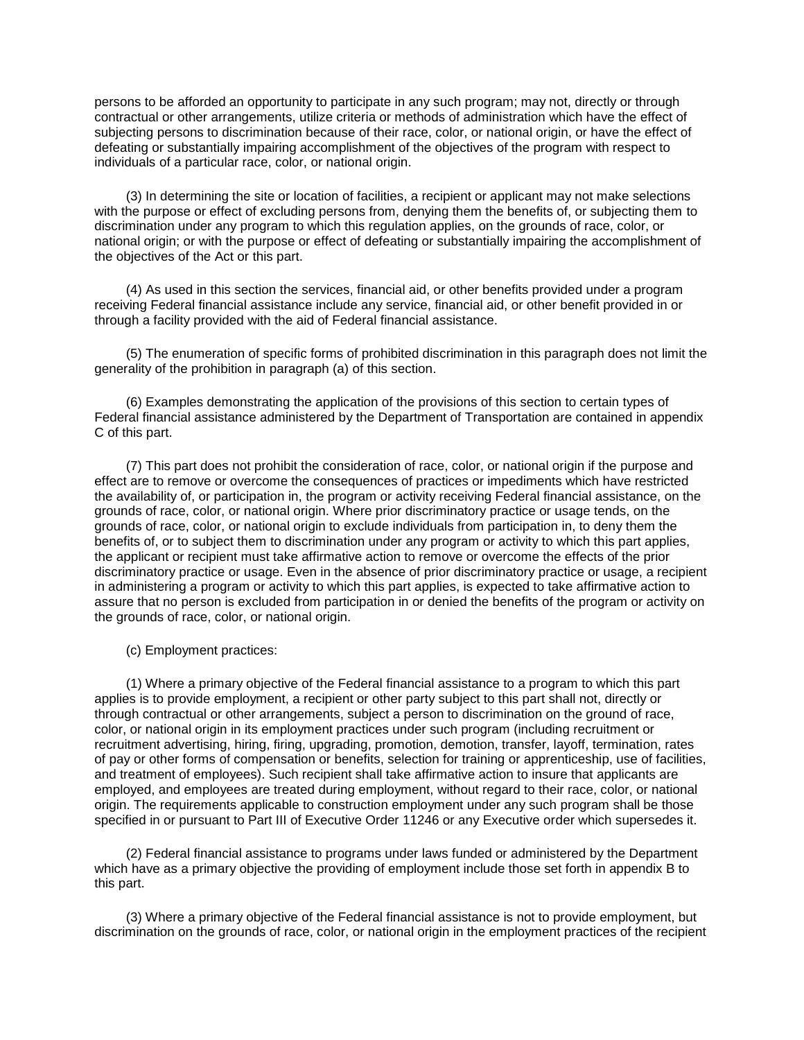persons to be afforded an opportunity to participate in any such program; may not, directly or through contractual or other arrangements, utilize criteria or methods of administration which have the effect of subjecting persons to discrimination because of their race, color, or national origin, or have the effect of defeating or substantially impairing accomplishment of the objectives of the program with respect to individuals of a particular race, color, or national origin.

(3) In determining the site or location of facilities, a recipient or applicant may not make selections with the purpose or effect of excluding persons from, denying them the benefits of, or subjecting them to discrimination under any program to which this regulation applies, on the grounds of race, color, or national origin; or with the purpose or effect of defeating or substantially impairing the accomplishment of the objectives of the Act or this part.

(4) As used in this section the services, financial aid, or other benefits provided under a program receiving Federal financial assistance include any service, financial aid, or other benefit provided in or through a facility provided with the aid of Federal financial assistance.

(5) The enumeration of specific forms of prohibited discrimination in this paragraph does not limit the generality of the prohibition in paragraph (a) of this section.

(6) Examples demonstrating the application of the provisions of this section to certain types of Federal financial assistance administered by the Department of Transportation are contained in appendix C of this part.

(7) This part does not prohibit the consideration of race, color, or national origin if the purpose and effect are to remove or overcome the consequences of practices or impediments which have restricted the availability of, or participation in, the program or activity receiving Federal financial assistance, on the grounds of race, color, or national origin. Where prior discriminatory practice or usage tends, on the grounds of race, color, or national origin to exclude individuals from participation in, to deny them the benefits of, or to subject them to discrimination under any program or activity to which this part applies, the applicant or recipient must take affirmative action to remove or overcome the effects of the prior discriminatory practice or usage. Even in the absence of prior discriminatory practice or usage, a recipient in administering a program or activity to which this part applies, is expected to take affirmative action to assure that no person is excluded from participation in or denied the benefits of the program or activity on the grounds of race, color, or national origin.

(c) Employment practices:

(1) Where a primary objective of the Federal financial assistance to a program to which this part applies is to provide employment, a recipient or other party subject to this part shall not, directly or through contractual or other arrangements, subject a person to discrimination on the ground of race, color, or national origin in its employment practices under such program (including recruitment or recruitment advertising, hiring, firing, upgrading, promotion, demotion, transfer, layoff, termination, rates of pay or other forms of compensation or benefits, selection for training or apprenticeship, use of facilities, and treatment of employees). Such recipient shall take affirmative action to insure that applicants are employed, and employees are treated during employment, without regard to their race, color, or national origin. The requirements applicable to construction employment under any such program shall be those specified in or pursuant to Part III of Executive Order 11246 or any Executive order which supersedes it.

(2) Federal financial assistance to programs under laws funded or administered by the Department which have as a primary objective the providing of employment include those set forth in appendix B to this part.

(3) Where a primary objective of the Federal financial assistance is not to provide employment, but discrimination on the grounds of race, color, or national origin in the employment practices of the recipient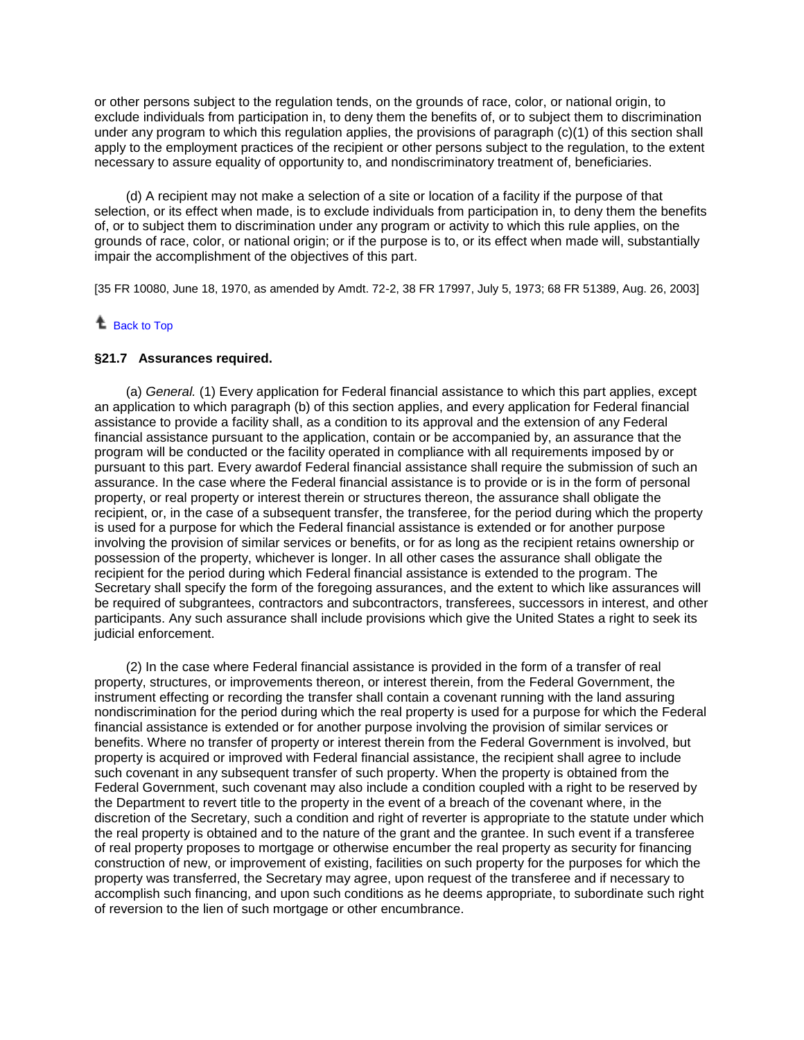or other persons subject to the regulation tends, on the grounds of race, color, or national origin, to exclude individuals from participation in, to deny them the benefits of, or to subject them to discrimination under any program to which this regulation applies, the provisions of paragraph (c)(1) of this section shall apply to the employment practices of the recipient or other persons subject to the regulation, to the extent necessary to assure equality of opportunity to, and nondiscriminatory treatment of, beneficiaries.

(d) A recipient may not make a selection of a site or location of a facility if the purpose of that selection, or its effect when made, is to exclude individuals from participation in, to deny them the benefits of, or to subject them to discrimination under any program or activity to which this rule applies, on the grounds of race, color, or national origin; or if the purpose is to, or its effect when made will, substantially impair the accomplishment of the objectives of this part.

[35 FR 10080, June 18, 1970, as amended by Amdt. 72-2, 38 FR 17997, July 5, 1973; 68 FR 51389, Aug. 26, 2003]

# **L** [Back to Top](https://www.ecfr.gov/cgi-bin/text-idx?SID=a29f9b86c050392fa001b929878a4184&mc=true&node=pt49.1.21&rgn=div5#_top)

#### **§21.7 Assurances required.**

(a) *General.* (1) Every application for Federal financial assistance to which this part applies, except an application to which paragraph (b) of this section applies, and every application for Federal financial assistance to provide a facility shall, as a condition to its approval and the extension of any Federal financial assistance pursuant to the application, contain or be accompanied by, an assurance that the program will be conducted or the facility operated in compliance with all requirements imposed by or pursuant to this part. Every awardof Federal financial assistance shall require the submission of such an assurance. In the case where the Federal financial assistance is to provide or is in the form of personal property, or real property or interest therein or structures thereon, the assurance shall obligate the recipient, or, in the case of a subsequent transfer, the transferee, for the period during which the property is used for a purpose for which the Federal financial assistance is extended or for another purpose involving the provision of similar services or benefits, or for as long as the recipient retains ownership or possession of the property, whichever is longer. In all other cases the assurance shall obligate the recipient for the period during which Federal financial assistance is extended to the program. The Secretary shall specify the form of the foregoing assurances, and the extent to which like assurances will be required of subgrantees, contractors and subcontractors, transferees, successors in interest, and other participants. Any such assurance shall include provisions which give the United States a right to seek its judicial enforcement.

(2) In the case where Federal financial assistance is provided in the form of a transfer of real property, structures, or improvements thereon, or interest therein, from the Federal Government, the instrument effecting or recording the transfer shall contain a covenant running with the land assuring nondiscrimination for the period during which the real property is used for a purpose for which the Federal financial assistance is extended or for another purpose involving the provision of similar services or benefits. Where no transfer of property or interest therein from the Federal Government is involved, but property is acquired or improved with Federal financial assistance, the recipient shall agree to include such covenant in any subsequent transfer of such property. When the property is obtained from the Federal Government, such covenant may also include a condition coupled with a right to be reserved by the Department to revert title to the property in the event of a breach of the covenant where, in the discretion of the Secretary, such a condition and right of reverter is appropriate to the statute under which the real property is obtained and to the nature of the grant and the grantee. In such event if a transferee of real property proposes to mortgage or otherwise encumber the real property as security for financing construction of new, or improvement of existing, facilities on such property for the purposes for which the property was transferred, the Secretary may agree, upon request of the transferee and if necessary to accomplish such financing, and upon such conditions as he deems appropriate, to subordinate such right of reversion to the lien of such mortgage or other encumbrance.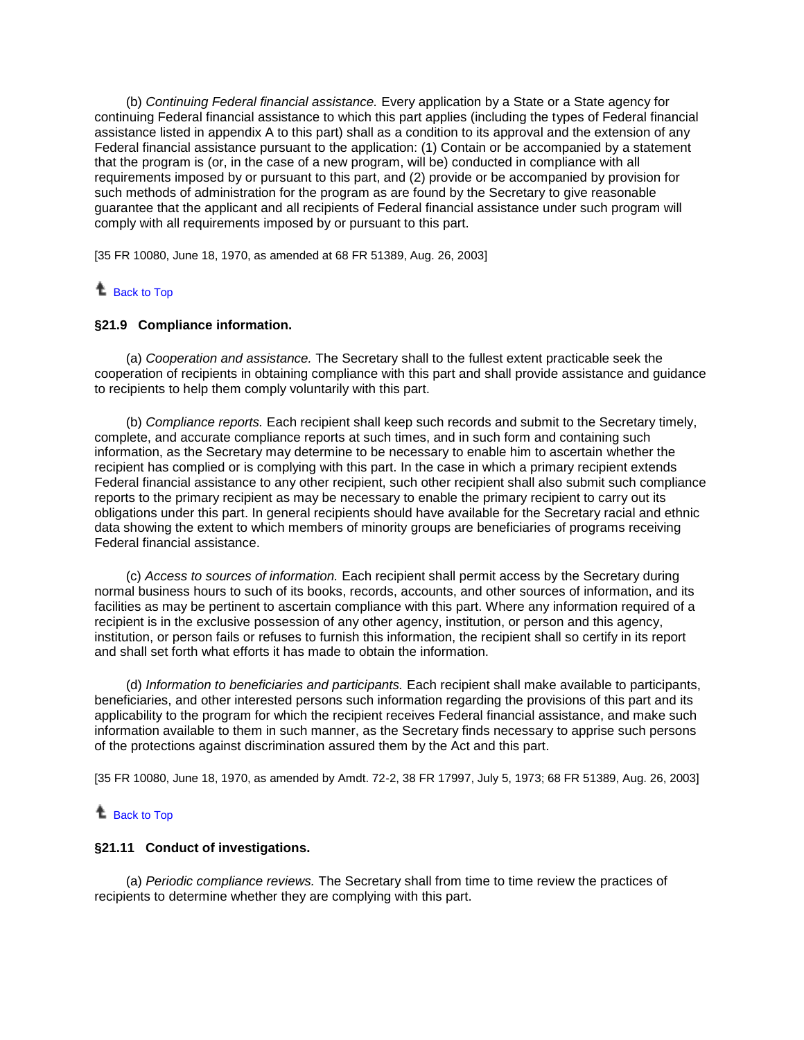(b) *Continuing Federal financial assistance.* Every application by a State or a State agency for continuing Federal financial assistance to which this part applies (including the types of Federal financial assistance listed in appendix A to this part) shall as a condition to its approval and the extension of any Federal financial assistance pursuant to the application: (1) Contain or be accompanied by a statement that the program is (or, in the case of a new program, will be) conducted in compliance with all requirements imposed by or pursuant to this part, and (2) provide or be accompanied by provision for such methods of administration for the program as are found by the Secretary to give reasonable guarantee that the applicant and all recipients of Federal financial assistance under such program will comply with all requirements imposed by or pursuant to this part.

[35 FR 10080, June 18, 1970, as amended at 68 FR 51389, Aug. 26, 2003]

# <sup>1</sup> [Back to Top](https://www.ecfr.gov/cgi-bin/text-idx?SID=a29f9b86c050392fa001b929878a4184&mc=true&node=pt49.1.21&rgn=div5#_top)

#### **§21.9 Compliance information.**

(a) *Cooperation and assistance.* The Secretary shall to the fullest extent practicable seek the cooperation of recipients in obtaining compliance with this part and shall provide assistance and guidance to recipients to help them comply voluntarily with this part.

(b) *Compliance reports.* Each recipient shall keep such records and submit to the Secretary timely, complete, and accurate compliance reports at such times, and in such form and containing such information, as the Secretary may determine to be necessary to enable him to ascertain whether the recipient has complied or is complying with this part. In the case in which a primary recipient extends Federal financial assistance to any other recipient, such other recipient shall also submit such compliance reports to the primary recipient as may be necessary to enable the primary recipient to carry out its obligations under this part. In general recipients should have available for the Secretary racial and ethnic data showing the extent to which members of minority groups are beneficiaries of programs receiving Federal financial assistance.

(c) *Access to sources of information.* Each recipient shall permit access by the Secretary during normal business hours to such of its books, records, accounts, and other sources of information, and its facilities as may be pertinent to ascertain compliance with this part. Where any information required of a recipient is in the exclusive possession of any other agency, institution, or person and this agency, institution, or person fails or refuses to furnish this information, the recipient shall so certify in its report and shall set forth what efforts it has made to obtain the information.

(d) *Information to beneficiaries and participants.* Each recipient shall make available to participants, beneficiaries, and other interested persons such information regarding the provisions of this part and its applicability to the program for which the recipient receives Federal financial assistance, and make such information available to them in such manner, as the Secretary finds necessary to apprise such persons of the protections against discrimination assured them by the Act and this part.

[35 FR 10080, June 18, 1970, as amended by Amdt. 72-2, 38 FR 17997, July 5, 1973; 68 FR 51389, Aug. 26, 2003]

# <sup>1</sup> [Back to Top](https://www.ecfr.gov/cgi-bin/text-idx?SID=a29f9b86c050392fa001b929878a4184&mc=true&node=pt49.1.21&rgn=div5#_top)

### **§21.11 Conduct of investigations.**

(a) *Periodic compliance reviews.* The Secretary shall from time to time review the practices of recipients to determine whether they are complying with this part.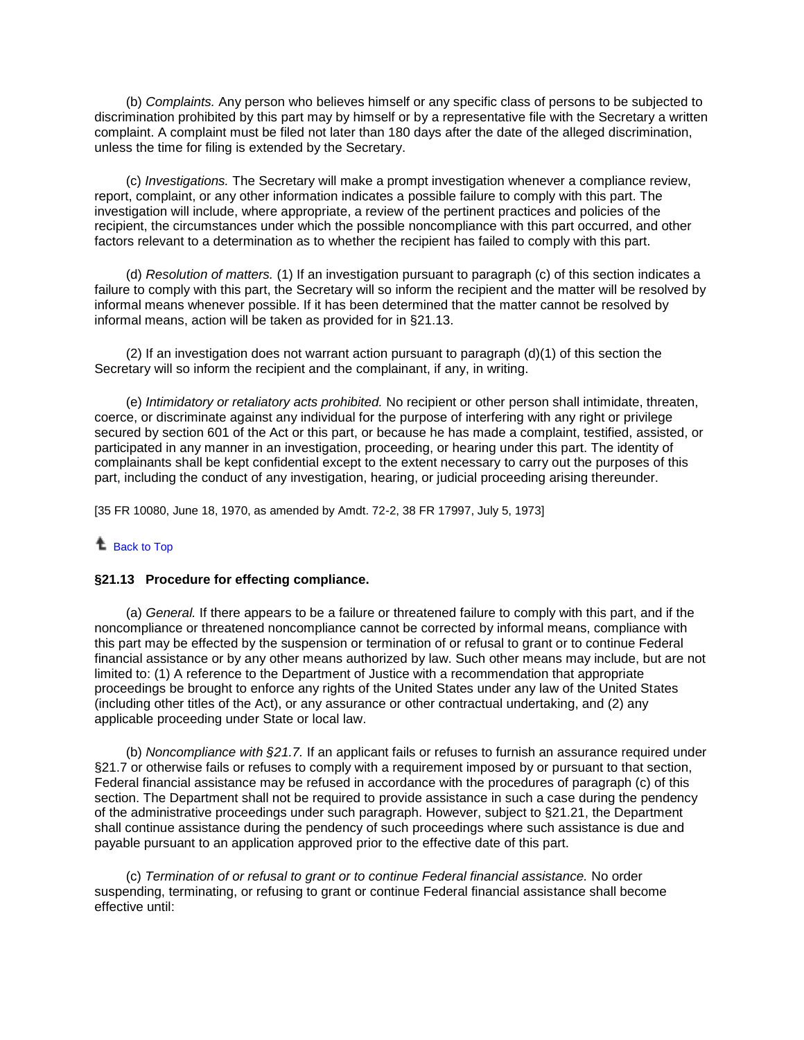(b) *Complaints.* Any person who believes himself or any specific class of persons to be subjected to discrimination prohibited by this part may by himself or by a representative file with the Secretary a written complaint. A complaint must be filed not later than 180 days after the date of the alleged discrimination, unless the time for filing is extended by the Secretary.

(c) *Investigations.* The Secretary will make a prompt investigation whenever a compliance review, report, complaint, or any other information indicates a possible failure to comply with this part. The investigation will include, where appropriate, a review of the pertinent practices and policies of the recipient, the circumstances under which the possible noncompliance with this part occurred, and other factors relevant to a determination as to whether the recipient has failed to comply with this part.

(d) *Resolution of matters.* (1) If an investigation pursuant to paragraph (c) of this section indicates a failure to comply with this part, the Secretary will so inform the recipient and the matter will be resolved by informal means whenever possible. If it has been determined that the matter cannot be resolved by informal means, action will be taken as provided for in §21.13.

 $(2)$  If an investigation does not warrant action pursuant to paragraph  $(d)(1)$  of this section the Secretary will so inform the recipient and the complainant, if any, in writing.

(e) *Intimidatory or retaliatory acts prohibited.* No recipient or other person shall intimidate, threaten, coerce, or discriminate against any individual for the purpose of interfering with any right or privilege secured by section 601 of the Act or this part, or because he has made a complaint, testified, assisted, or participated in any manner in an investigation, proceeding, or hearing under this part. The identity of complainants shall be kept confidential except to the extent necessary to carry out the purposes of this part, including the conduct of any investigation, hearing, or judicial proceeding arising thereunder.

[35 FR 10080, June 18, 1970, as amended by Amdt. 72-2, 38 FR 17997, July 5, 1973]

# **L** [Back to Top](https://www.ecfr.gov/cgi-bin/text-idx?SID=a29f9b86c050392fa001b929878a4184&mc=true&node=pt49.1.21&rgn=div5#_top)

### **§21.13 Procedure for effecting compliance.**

(a) *General.* If there appears to be a failure or threatened failure to comply with this part, and if the noncompliance or threatened noncompliance cannot be corrected by informal means, compliance with this part may be effected by the suspension or termination of or refusal to grant or to continue Federal financial assistance or by any other means authorized by law. Such other means may include, but are not limited to: (1) A reference to the Department of Justice with a recommendation that appropriate proceedings be brought to enforce any rights of the United States under any law of the United States (including other titles of the Act), or any assurance or other contractual undertaking, and (2) any applicable proceeding under State or local law.

(b) *Noncompliance with §21.7.* If an applicant fails or refuses to furnish an assurance required under §21.7 or otherwise fails or refuses to comply with a requirement imposed by or pursuant to that section, Federal financial assistance may be refused in accordance with the procedures of paragraph (c) of this section. The Department shall not be required to provide assistance in such a case during the pendency of the administrative proceedings under such paragraph. However, subject to §21.21, the Department shall continue assistance during the pendency of such proceedings where such assistance is due and payable pursuant to an application approved prior to the effective date of this part.

(c) *Termination of or refusal to grant or to continue Federal financial assistance.* No order suspending, terminating, or refusing to grant or continue Federal financial assistance shall become effective until: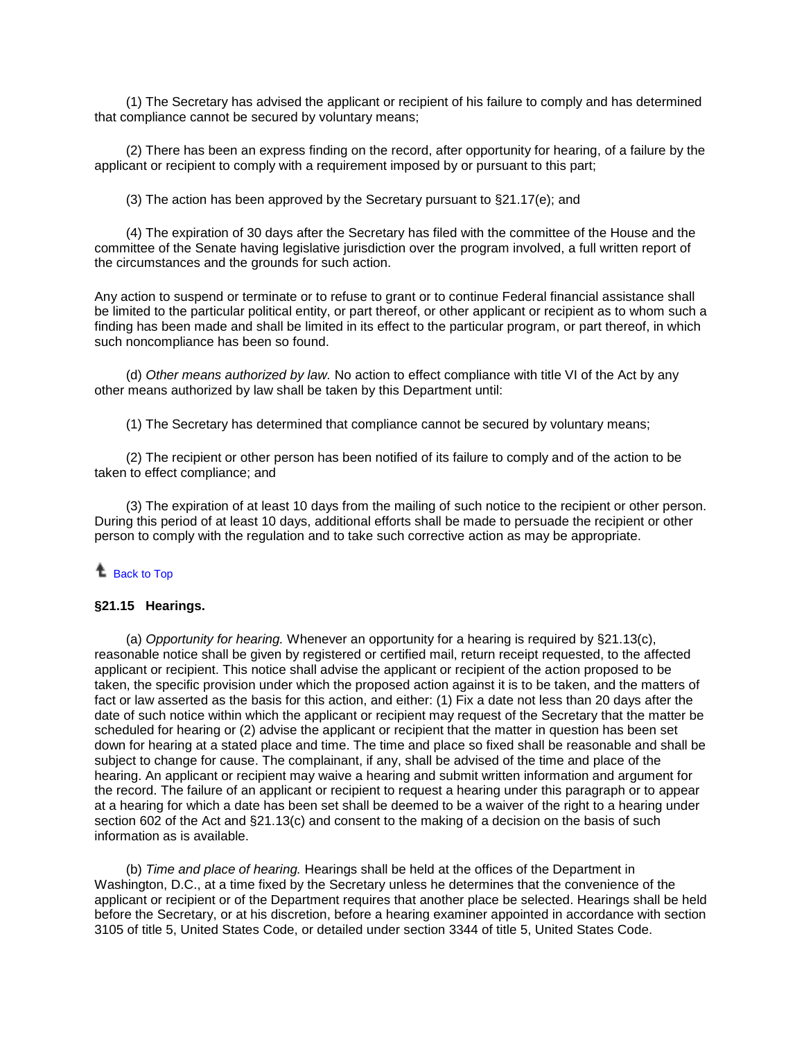(1) The Secretary has advised the applicant or recipient of his failure to comply and has determined that compliance cannot be secured by voluntary means;

(2) There has been an express finding on the record, after opportunity for hearing, of a failure by the applicant or recipient to comply with a requirement imposed by or pursuant to this part;

(3) The action has been approved by the Secretary pursuant to §21.17(e); and

(4) The expiration of 30 days after the Secretary has filed with the committee of the House and the committee of the Senate having legislative jurisdiction over the program involved, a full written report of the circumstances and the grounds for such action.

Any action to suspend or terminate or to refuse to grant or to continue Federal financial assistance shall be limited to the particular political entity, or part thereof, or other applicant or recipient as to whom such a finding has been made and shall be limited in its effect to the particular program, or part thereof, in which such noncompliance has been so found.

(d) *Other means authorized by law.* No action to effect compliance with title VI of the Act by any other means authorized by law shall be taken by this Department until:

(1) The Secretary has determined that compliance cannot be secured by voluntary means;

(2) The recipient or other person has been notified of its failure to comply and of the action to be taken to effect compliance; and

(3) The expiration of at least 10 days from the mailing of such notice to the recipient or other person. During this period of at least 10 days, additional efforts shall be made to persuade the recipient or other person to comply with the regulation and to take such corrective action as may be appropriate.

### <sup>1</sup> [Back to Top](https://www.ecfr.gov/cgi-bin/text-idx?SID=a29f9b86c050392fa001b929878a4184&mc=true&node=pt49.1.21&rgn=div5#_top)

### **§21.15 Hearings.**

(a) *Opportunity for hearing.* Whenever an opportunity for a hearing is required by §21.13(c), reasonable notice shall be given by registered or certified mail, return receipt requested, to the affected applicant or recipient. This notice shall advise the applicant or recipient of the action proposed to be taken, the specific provision under which the proposed action against it is to be taken, and the matters of fact or law asserted as the basis for this action, and either: (1) Fix a date not less than 20 days after the date of such notice within which the applicant or recipient may request of the Secretary that the matter be scheduled for hearing or (2) advise the applicant or recipient that the matter in question has been set down for hearing at a stated place and time. The time and place so fixed shall be reasonable and shall be subject to change for cause. The complainant, if any, shall be advised of the time and place of the hearing. An applicant or recipient may waive a hearing and submit written information and argument for the record. The failure of an applicant or recipient to request a hearing under this paragraph or to appear at a hearing for which a date has been set shall be deemed to be a waiver of the right to a hearing under section 602 of the Act and §21.13(c) and consent to the making of a decision on the basis of such information as is available.

(b) *Time and place of hearing.* Hearings shall be held at the offices of the Department in Washington, D.C., at a time fixed by the Secretary unless he determines that the convenience of the applicant or recipient or of the Department requires that another place be selected. Hearings shall be held before the Secretary, or at his discretion, before a hearing examiner appointed in accordance with section 3105 of title 5, United States Code, or detailed under section 3344 of title 5, United States Code.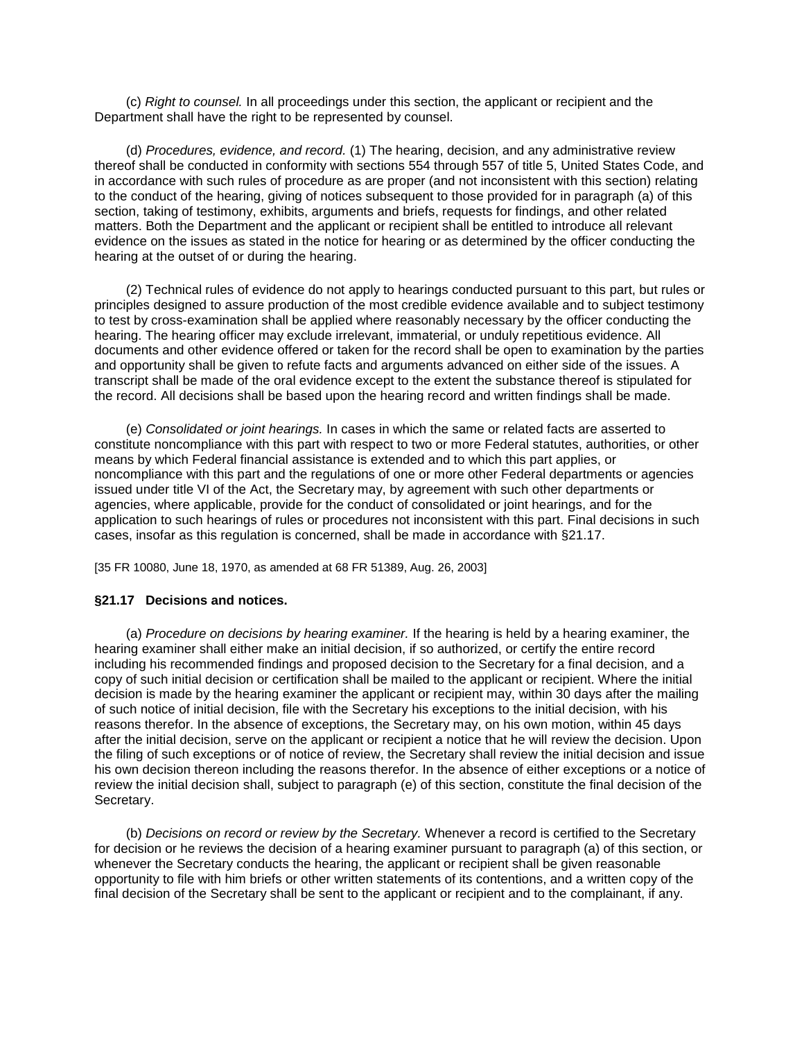(c) *Right to counsel.* In all proceedings under this section, the applicant or recipient and the Department shall have the right to be represented by counsel.

(d) *Procedures, evidence, and record.* (1) The hearing, decision, and any administrative review thereof shall be conducted in conformity with sections 554 through 557 of title 5, United States Code, and in accordance with such rules of procedure as are proper (and not inconsistent with this section) relating to the conduct of the hearing, giving of notices subsequent to those provided for in paragraph (a) of this section, taking of testimony, exhibits, arguments and briefs, requests for findings, and other related matters. Both the Department and the applicant or recipient shall be entitled to introduce all relevant evidence on the issues as stated in the notice for hearing or as determined by the officer conducting the hearing at the outset of or during the hearing.

(2) Technical rules of evidence do not apply to hearings conducted pursuant to this part, but rules or principles designed to assure production of the most credible evidence available and to subject testimony to test by cross-examination shall be applied where reasonably necessary by the officer conducting the hearing. The hearing officer may exclude irrelevant, immaterial, or unduly repetitious evidence. All documents and other evidence offered or taken for the record shall be open to examination by the parties and opportunity shall be given to refute facts and arguments advanced on either side of the issues. A transcript shall be made of the oral evidence except to the extent the substance thereof is stipulated for the record. All decisions shall be based upon the hearing record and written findings shall be made.

(e) *Consolidated or joint hearings.* In cases in which the same or related facts are asserted to constitute noncompliance with this part with respect to two or more Federal statutes, authorities, or other means by which Federal financial assistance is extended and to which this part applies, or noncompliance with this part and the regulations of one or more other Federal departments or agencies issued under title VI of the Act, the Secretary may, by agreement with such other departments or agencies, where applicable, provide for the conduct of consolidated or joint hearings, and for the application to such hearings of rules or procedures not inconsistent with this part. Final decisions in such cases, insofar as this regulation is concerned, shall be made in accordance with §21.17.

[35 FR 10080, June 18, 1970, as amended at 68 FR 51389, Aug. 26, 2003]

#### **§21.17 Decisions and notices.**

(a) *Procedure on decisions by hearing examiner.* If the hearing is held by a hearing examiner, the hearing examiner shall either make an initial decision, if so authorized, or certify the entire record including his recommended findings and proposed decision to the Secretary for a final decision, and a copy of such initial decision or certification shall be mailed to the applicant or recipient. Where the initial decision is made by the hearing examiner the applicant or recipient may, within 30 days after the mailing of such notice of initial decision, file with the Secretary his exceptions to the initial decision, with his reasons therefor. In the absence of exceptions, the Secretary may, on his own motion, within 45 days after the initial decision, serve on the applicant or recipient a notice that he will review the decision. Upon the filing of such exceptions or of notice of review, the Secretary shall review the initial decision and issue his own decision thereon including the reasons therefor. In the absence of either exceptions or a notice of review the initial decision shall, subject to paragraph (e) of this section, constitute the final decision of the Secretary.

(b) *Decisions on record or review by the Secretary.* Whenever a record is certified to the Secretary for decision or he reviews the decision of a hearing examiner pursuant to paragraph (a) of this section, or whenever the Secretary conducts the hearing, the applicant or recipient shall be given reasonable opportunity to file with him briefs or other written statements of its contentions, and a written copy of the final decision of the Secretary shall be sent to the applicant or recipient and to the complainant, if any.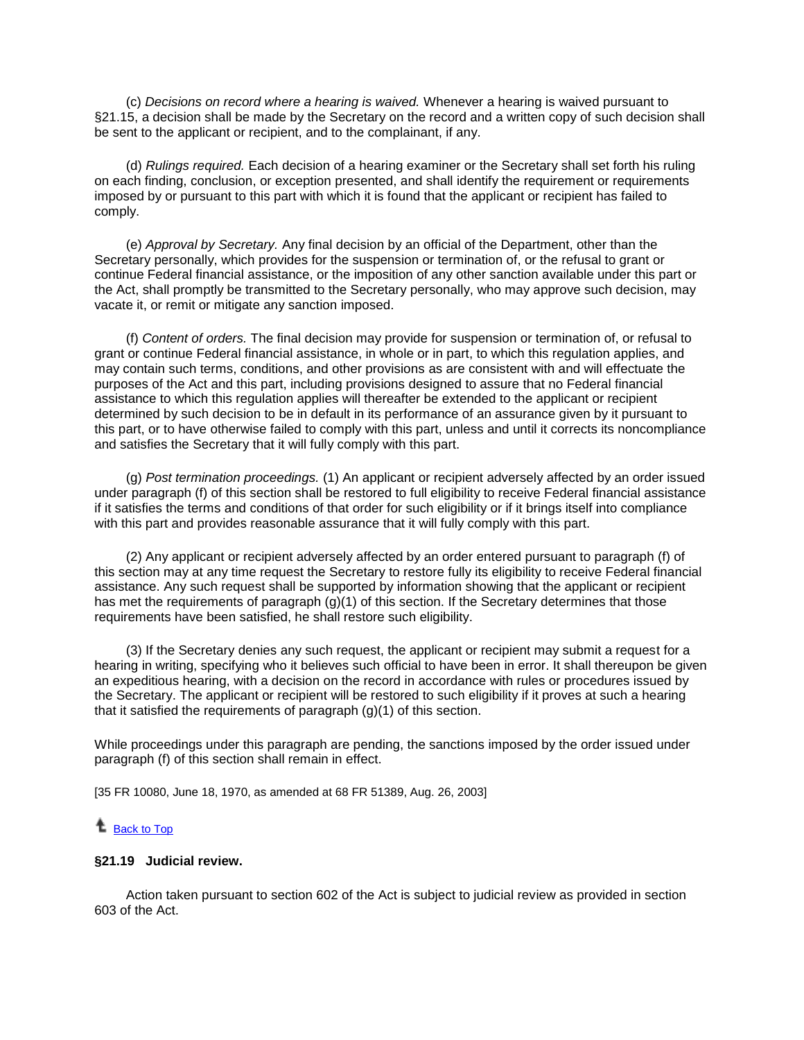(c) *Decisions on record where a hearing is waived.* Whenever a hearing is waived pursuant to §21.15, a decision shall be made by the Secretary on the record and a written copy of such decision shall be sent to the applicant or recipient, and to the complainant, if any.

(d) *Rulings required.* Each decision of a hearing examiner or the Secretary shall set forth his ruling on each finding, conclusion, or exception presented, and shall identify the requirement or requirements imposed by or pursuant to this part with which it is found that the applicant or recipient has failed to comply.

(e) *Approval by Secretary.* Any final decision by an official of the Department, other than the Secretary personally, which provides for the suspension or termination of, or the refusal to grant or continue Federal financial assistance, or the imposition of any other sanction available under this part or the Act, shall promptly be transmitted to the Secretary personally, who may approve such decision, may vacate it, or remit or mitigate any sanction imposed.

(f) *Content of orders.* The final decision may provide for suspension or termination of, or refusal to grant or continue Federal financial assistance, in whole or in part, to which this regulation applies, and may contain such terms, conditions, and other provisions as are consistent with and will effectuate the purposes of the Act and this part, including provisions designed to assure that no Federal financial assistance to which this regulation applies will thereafter be extended to the applicant or recipient determined by such decision to be in default in its performance of an assurance given by it pursuant to this part, or to have otherwise failed to comply with this part, unless and until it corrects its noncompliance and satisfies the Secretary that it will fully comply with this part.

(g) *Post termination proceedings.* (1) An applicant or recipient adversely affected by an order issued under paragraph (f) of this section shall be restored to full eligibility to receive Federal financial assistance if it satisfies the terms and conditions of that order for such eligibility or if it brings itself into compliance with this part and provides reasonable assurance that it will fully comply with this part.

(2) Any applicant or recipient adversely affected by an order entered pursuant to paragraph (f) of this section may at any time request the Secretary to restore fully its eligibility to receive Federal financial assistance. Any such request shall be supported by information showing that the applicant or recipient has met the requirements of paragraph  $(q)(1)$  of this section. If the Secretary determines that those requirements have been satisfied, he shall restore such eligibility.

(3) If the Secretary denies any such request, the applicant or recipient may submit a request for a hearing in writing, specifying who it believes such official to have been in error. It shall thereupon be given an expeditious hearing, with a decision on the record in accordance with rules or procedures issued by the Secretary. The applicant or recipient will be restored to such eligibility if it proves at such a hearing that it satisfied the requirements of paragraph (g)(1) of this section.

While proceedings under this paragraph are pending, the sanctions imposed by the order issued under paragraph (f) of this section shall remain in effect.

[35 FR 10080, June 18, 1970, as amended at 68 FR 51389, Aug. 26, 2003]

### **L** [Back to Top](https://www.ecfr.gov/cgi-bin/text-idx?SID=a29f9b86c050392fa001b929878a4184&mc=true&node=pt49.1.21&rgn=div5#_top)

#### **§21.19 Judicial review.**

Action taken pursuant to section 602 of the Act is subject to judicial review as provided in section 603 of the Act.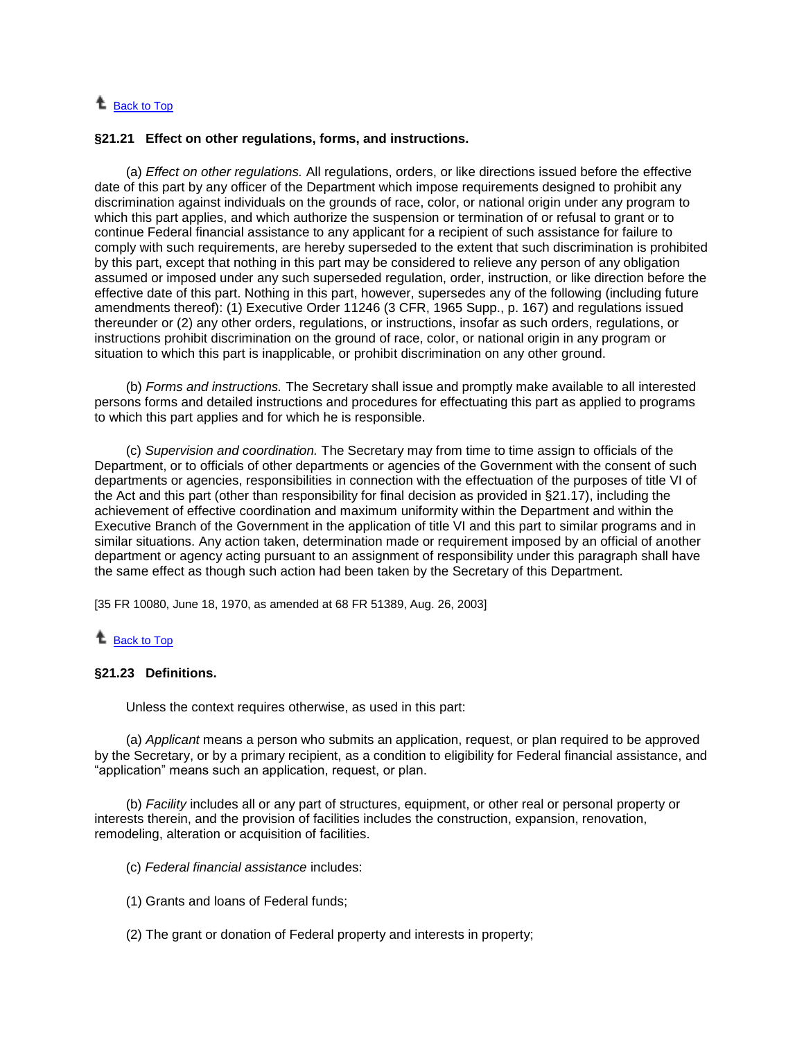# **L** [Back to Top](https://www.ecfr.gov/cgi-bin/text-idx?SID=a29f9b86c050392fa001b929878a4184&mc=true&node=pt49.1.21&rgn=div5#_top)

#### **§21.21 Effect on other regulations, forms, and instructions.**

(a) *Effect on other regulations.* All regulations, orders, or like directions issued before the effective date of this part by any officer of the Department which impose requirements designed to prohibit any discrimination against individuals on the grounds of race, color, or national origin under any program to which this part applies, and which authorize the suspension or termination of or refusal to grant or to continue Federal financial assistance to any applicant for a recipient of such assistance for failure to comply with such requirements, are hereby superseded to the extent that such discrimination is prohibited by this part, except that nothing in this part may be considered to relieve any person of any obligation assumed or imposed under any such superseded regulation, order, instruction, or like direction before the effective date of this part. Nothing in this part, however, supersedes any of the following (including future amendments thereof): (1) Executive Order 11246 (3 CFR, 1965 Supp., p. 167) and regulations issued thereunder or (2) any other orders, regulations, or instructions, insofar as such orders, regulations, or instructions prohibit discrimination on the ground of race, color, or national origin in any program or situation to which this part is inapplicable, or prohibit discrimination on any other ground.

(b) *Forms and instructions.* The Secretary shall issue and promptly make available to all interested persons forms and detailed instructions and procedures for effectuating this part as applied to programs to which this part applies and for which he is responsible.

(c) *Supervision and coordination.* The Secretary may from time to time assign to officials of the Department, or to officials of other departments or agencies of the Government with the consent of such departments or agencies, responsibilities in connection with the effectuation of the purposes of title VI of the Act and this part (other than responsibility for final decision as provided in §21.17), including the achievement of effective coordination and maximum uniformity within the Department and within the Executive Branch of the Government in the application of title VI and this part to similar programs and in similar situations. Any action taken, determination made or requirement imposed by an official of another department or agency acting pursuant to an assignment of responsibility under this paragraph shall have the same effect as though such action had been taken by the Secretary of this Department.

[35 FR 10080, June 18, 1970, as amended at 68 FR 51389, Aug. 26, 2003]

### **L** [Back to Top](https://www.ecfr.gov/cgi-bin/text-idx?SID=a29f9b86c050392fa001b929878a4184&mc=true&node=pt49.1.21&rgn=div5#_top)

#### **§21.23 Definitions.**

Unless the context requires otherwise, as used in this part:

(a) *Applicant* means a person who submits an application, request, or plan required to be approved by the Secretary, or by a primary recipient, as a condition to eligibility for Federal financial assistance, and "application" means such an application, request, or plan.

(b) *Facility* includes all or any part of structures, equipment, or other real or personal property or interests therein, and the provision of facilities includes the construction, expansion, renovation, remodeling, alteration or acquisition of facilities.

- (c) *Federal financial assistance* includes:
- (1) Grants and loans of Federal funds;
- (2) The grant or donation of Federal property and interests in property;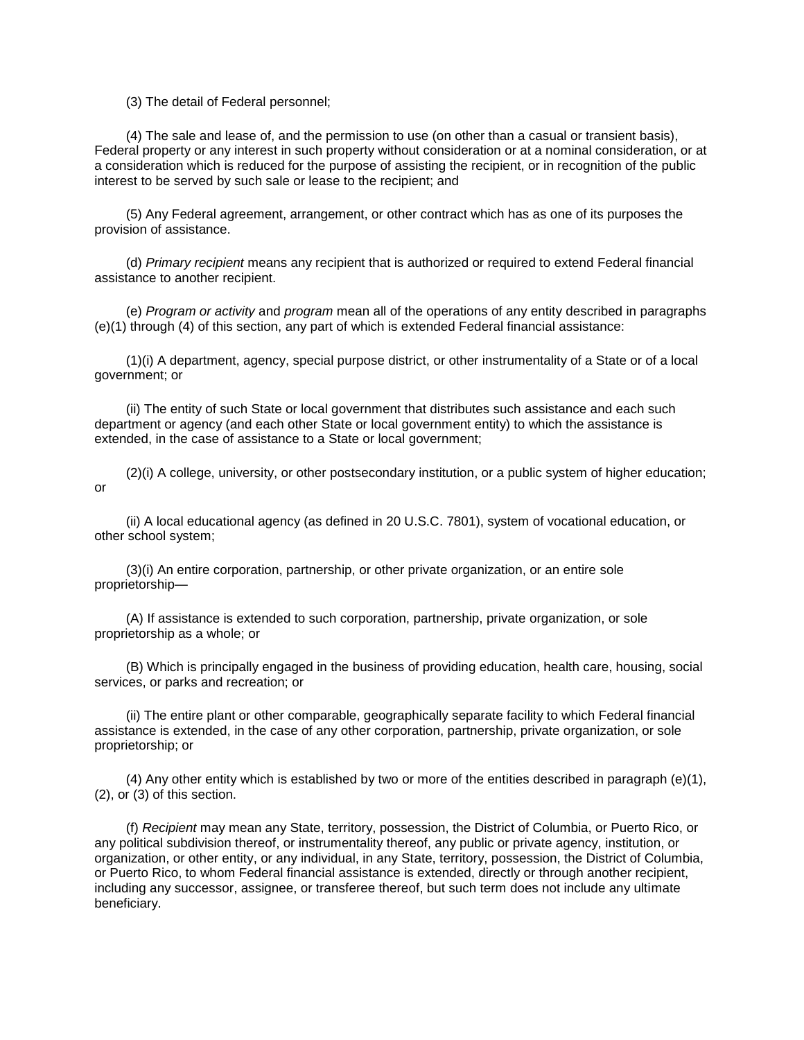(3) The detail of Federal personnel;

(4) The sale and lease of, and the permission to use (on other than a casual or transient basis), Federal property or any interest in such property without consideration or at a nominal consideration, or at a consideration which is reduced for the purpose of assisting the recipient, or in recognition of the public interest to be served by such sale or lease to the recipient; and

(5) Any Federal agreement, arrangement, or other contract which has as one of its purposes the provision of assistance.

(d) *Primary recipient* means any recipient that is authorized or required to extend Federal financial assistance to another recipient.

(e) *Program or activity* and *program* mean all of the operations of any entity described in paragraphs (e)(1) through (4) of this section, any part of which is extended Federal financial assistance:

(1)(i) A department, agency, special purpose district, or other instrumentality of a State or of a local government; or

(ii) The entity of such State or local government that distributes such assistance and each such department or agency (and each other State or local government entity) to which the assistance is extended, in the case of assistance to a State or local government;

(2)(i) A college, university, or other postsecondary institution, or a public system of higher education; or

(ii) A local educational agency (as defined in 20 U.S.C. 7801), system of vocational education, or other school system;

(3)(i) An entire corporation, partnership, or other private organization, or an entire sole proprietorship—

(A) If assistance is extended to such corporation, partnership, private organization, or sole proprietorship as a whole; or

(B) Which is principally engaged in the business of providing education, health care, housing, social services, or parks and recreation; or

(ii) The entire plant or other comparable, geographically separate facility to which Federal financial assistance is extended, in the case of any other corporation, partnership, private organization, or sole proprietorship; or

(4) Any other entity which is established by two or more of the entities described in paragraph (e)(1), (2), or (3) of this section.

(f) *Recipient* may mean any State, territory, possession, the District of Columbia, or Puerto Rico, or any political subdivision thereof, or instrumentality thereof, any public or private agency, institution, or organization, or other entity, or any individual, in any State, territory, possession, the District of Columbia, or Puerto Rico, to whom Federal financial assistance is extended, directly or through another recipient, including any successor, assignee, or transferee thereof, but such term does not include any ultimate beneficiary.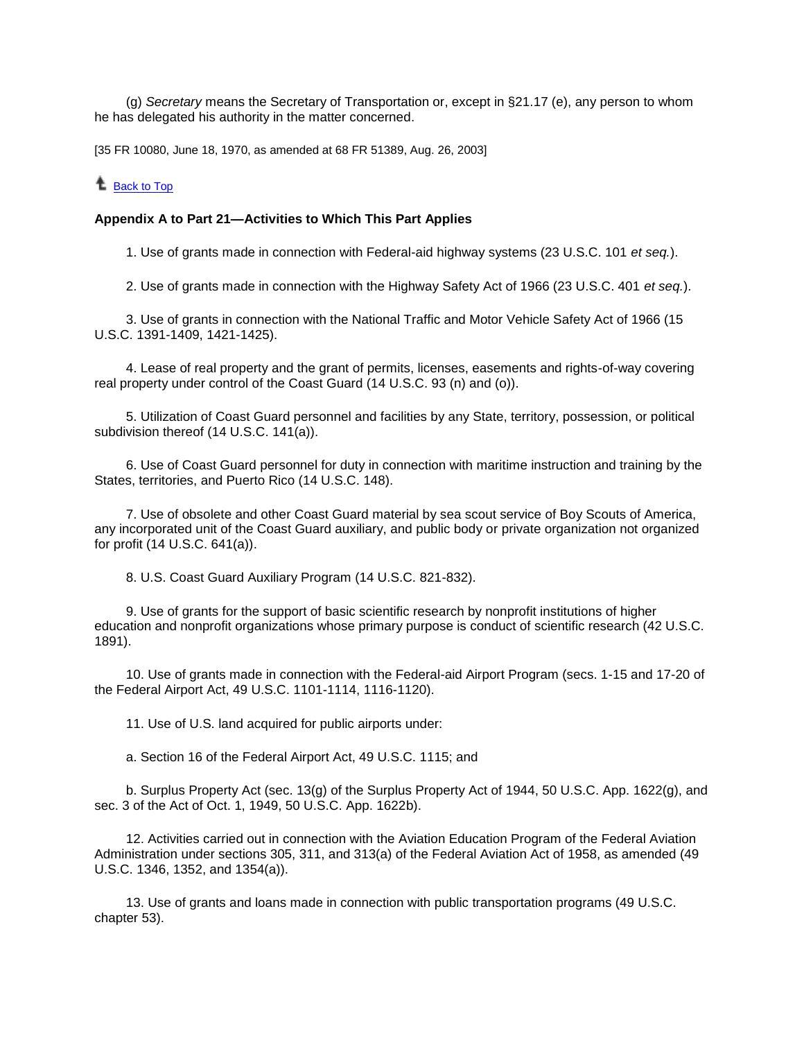(g) *Secretary* means the Secretary of Transportation or, except in §21.17 (e), any person to whom he has delegated his authority in the matter concerned.

[35 FR 10080, June 18, 1970, as amended at 68 FR 51389, Aug. 26, 2003]

# <sup>1</sup> [Back to Top](https://www.ecfr.gov/cgi-bin/text-idx?SID=a29f9b86c050392fa001b929878a4184&mc=true&node=pt49.1.21&rgn=div5#_top)

### **Appendix A to Part 21—Activities to Which This Part Applies**

1. Use of grants made in connection with Federal-aid highway systems (23 U.S.C. 101 *et seq.*).

2. Use of grants made in connection with the Highway Safety Act of 1966 (23 U.S.C. 401 *et seq.*).

3. Use of grants in connection with the National Traffic and Motor Vehicle Safety Act of 1966 (15 U.S.C. 1391-1409, 1421-1425).

4. Lease of real property and the grant of permits, licenses, easements and rights-of-way covering real property under control of the Coast Guard (14 U.S.C. 93 (n) and (o)).

5. Utilization of Coast Guard personnel and facilities by any State, territory, possession, or political subdivision thereof (14 U.S.C. 141(a)).

6. Use of Coast Guard personnel for duty in connection with maritime instruction and training by the States, territories, and Puerto Rico (14 U.S.C. 148).

7. Use of obsolete and other Coast Guard material by sea scout service of Boy Scouts of America, any incorporated unit of the Coast Guard auxiliary, and public body or private organization not organized for profit (14 U.S.C. 641(a)).

8. U.S. Coast Guard Auxiliary Program (14 U.S.C. 821-832).

9. Use of grants for the support of basic scientific research by nonprofit institutions of higher education and nonprofit organizations whose primary purpose is conduct of scientific research (42 U.S.C. 1891).

10. Use of grants made in connection with the Federal-aid Airport Program (secs. 1-15 and 17-20 of the Federal Airport Act, 49 U.S.C. 1101-1114, 1116-1120).

11. Use of U.S. land acquired for public airports under:

a. Section 16 of the Federal Airport Act, 49 U.S.C. 1115; and

b. Surplus Property Act (sec. 13(g) of the Surplus Property Act of 1944, 50 U.S.C. App. 1622(g), and sec. 3 of the Act of Oct. 1, 1949, 50 U.S.C. App. 1622b).

12. Activities carried out in connection with the Aviation Education Program of the Federal Aviation Administration under sections 305, 311, and 313(a) of the Federal Aviation Act of 1958, as amended (49 U.S.C. 1346, 1352, and 1354(a)).

13. Use of grants and loans made in connection with public transportation programs (49 U.S.C. chapter 53).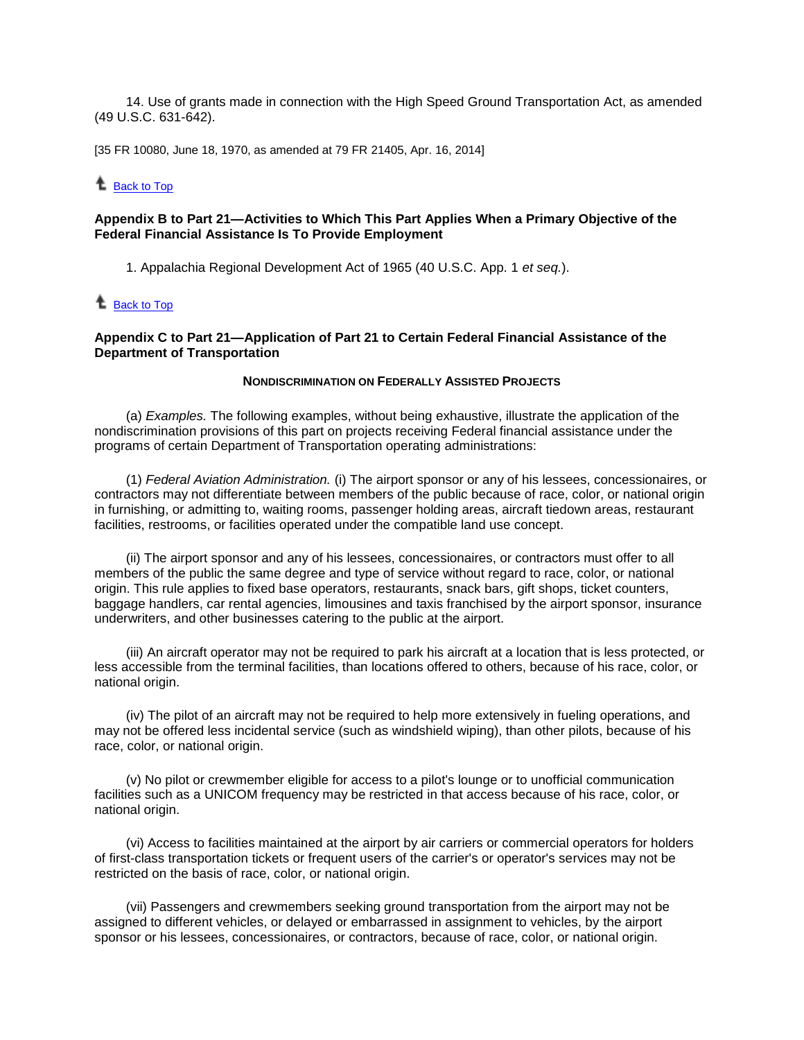14. Use of grants made in connection with the High Speed Ground Transportation Act, as amended (49 U.S.C. 631-642).

[35 FR 10080, June 18, 1970, as amended at 79 FR 21405, Apr. 16, 2014]

# <sup>1</sup> [Back to Top](https://www.ecfr.gov/cgi-bin/text-idx?SID=a29f9b86c050392fa001b929878a4184&mc=true&node=pt49.1.21&rgn=div5#_top)

#### **Appendix B to Part 21—Activities to Which This Part Applies When a Primary Objective of the Federal Financial Assistance Is To Provide Employment**

1. Appalachia Regional Development Act of 1965 (40 U.S.C. App. 1 *et seq.*).

# <sup>1</sup> [Back to Top](https://www.ecfr.gov/cgi-bin/text-idx?SID=a29f9b86c050392fa001b929878a4184&mc=true&node=pt49.1.21&rgn=div5#_top)

#### **Appendix C to Part 21—Application of Part 21 to Certain Federal Financial Assistance of the Department of Transportation**

#### **NONDISCRIMINATION ON FEDERALLY ASSISTED PROJECTS**

(a) *Examples.* The following examples, without being exhaustive, illustrate the application of the nondiscrimination provisions of this part on projects receiving Federal financial assistance under the programs of certain Department of Transportation operating administrations:

(1) *Federal Aviation Administration.* (i) The airport sponsor or any of his lessees, concessionaires, or contractors may not differentiate between members of the public because of race, color, or national origin in furnishing, or admitting to, waiting rooms, passenger holding areas, aircraft tiedown areas, restaurant facilities, restrooms, or facilities operated under the compatible land use concept.

(ii) The airport sponsor and any of his lessees, concessionaires, or contractors must offer to all members of the public the same degree and type of service without regard to race, color, or national origin. This rule applies to fixed base operators, restaurants, snack bars, gift shops, ticket counters, baggage handlers, car rental agencies, limousines and taxis franchised by the airport sponsor, insurance underwriters, and other businesses catering to the public at the airport.

(iii) An aircraft operator may not be required to park his aircraft at a location that is less protected, or less accessible from the terminal facilities, than locations offered to others, because of his race, color, or national origin.

(iv) The pilot of an aircraft may not be required to help more extensively in fueling operations, and may not be offered less incidental service (such as windshield wiping), than other pilots, because of his race, color, or national origin.

(v) No pilot or crewmember eligible for access to a pilot's lounge or to unofficial communication facilities such as a UNICOM frequency may be restricted in that access because of his race, color, or national origin.

(vi) Access to facilities maintained at the airport by air carriers or commercial operators for holders of first-class transportation tickets or frequent users of the carrier's or operator's services may not be restricted on the basis of race, color, or national origin.

(vii) Passengers and crewmembers seeking ground transportation from the airport may not be assigned to different vehicles, or delayed or embarrassed in assignment to vehicles, by the airport sponsor or his lessees, concessionaires, or contractors, because of race, color, or national origin.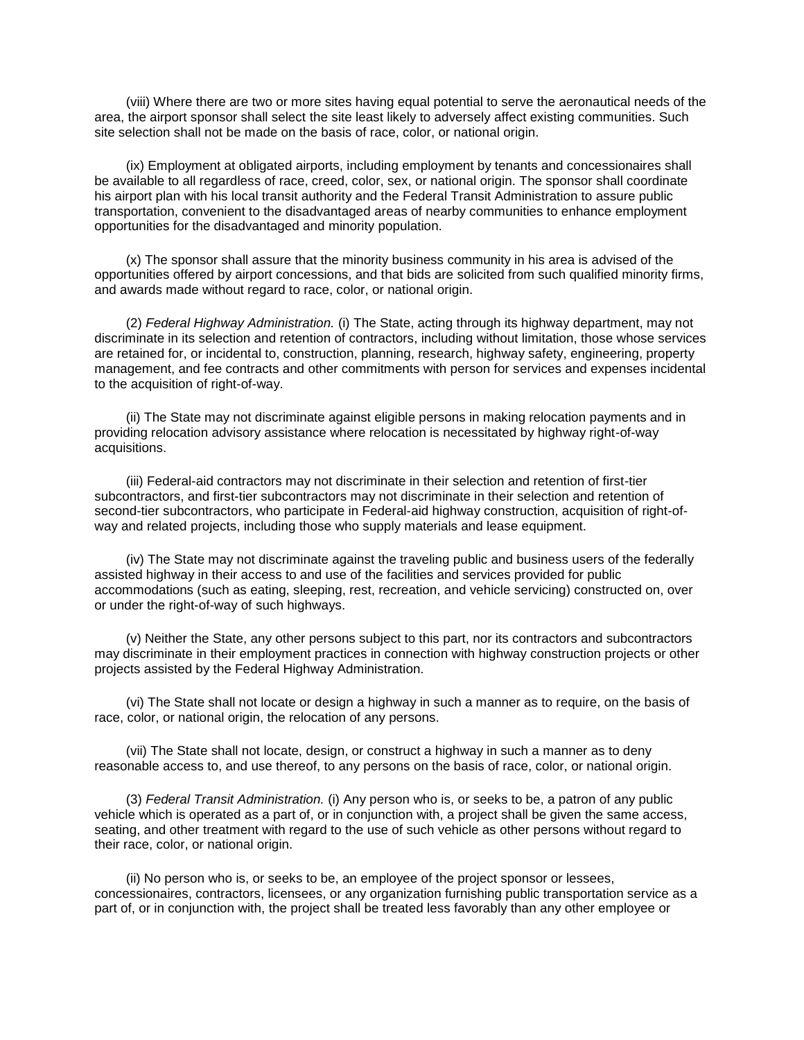(viii) Where there are two or more sites having equal potential to serve the aeronautical needs of the area, the airport sponsor shall select the site least likely to adversely affect existing communities. Such site selection shall not be made on the basis of race, color, or national origin.

(ix) Employment at obligated airports, including employment by tenants and concessionaires shall be available to all regardless of race, creed, color, sex, or national origin. The sponsor shall coordinate his airport plan with his local transit authority and the Federal Transit Administration to assure public transportation, convenient to the disadvantaged areas of nearby communities to enhance employment opportunities for the disadvantaged and minority population.

(x) The sponsor shall assure that the minority business community in his area is advised of the opportunities offered by airport concessions, and that bids are solicited from such qualified minority firms, and awards made without regard to race, color, or national origin.

(2) *Federal Highway Administration.* (i) The State, acting through its highway department, may not discriminate in its selection and retention of contractors, including without limitation, those whose services are retained for, or incidental to, construction, planning, research, highway safety, engineering, property management, and fee contracts and other commitments with person for services and expenses incidental to the acquisition of right-of-way.

(ii) The State may not discriminate against eligible persons in making relocation payments and in providing relocation advisory assistance where relocation is necessitated by highway right-of-way acquisitions.

(iii) Federal-aid contractors may not discriminate in their selection and retention of first-tier subcontractors, and first-tier subcontractors may not discriminate in their selection and retention of second-tier subcontractors, who participate in Federal-aid highway construction, acquisition of right-ofway and related projects, including those who supply materials and lease equipment.

(iv) The State may not discriminate against the traveling public and business users of the federally assisted highway in their access to and use of the facilities and services provided for public accommodations (such as eating, sleeping, rest, recreation, and vehicle servicing) constructed on, over or under the right-of-way of such highways.

(v) Neither the State, any other persons subject to this part, nor its contractors and subcontractors may discriminate in their employment practices in connection with highway construction projects or other projects assisted by the Federal Highway Administration.

(vi) The State shall not locate or design a highway in such a manner as to require, on the basis of race, color, or national origin, the relocation of any persons.

(vii) The State shall not locate, design, or construct a highway in such a manner as to deny reasonable access to, and use thereof, to any persons on the basis of race, color, or national origin.

(3) *Federal Transit Administration.* (i) Any person who is, or seeks to be, a patron of any public vehicle which is operated as a part of, or in conjunction with, a project shall be given the same access, seating, and other treatment with regard to the use of such vehicle as other persons without regard to their race, color, or national origin.

(ii) No person who is, or seeks to be, an employee of the project sponsor or lessees, concessionaires, contractors, licensees, or any organization furnishing public transportation service as a part of, or in conjunction with, the project shall be treated less favorably than any other employee or